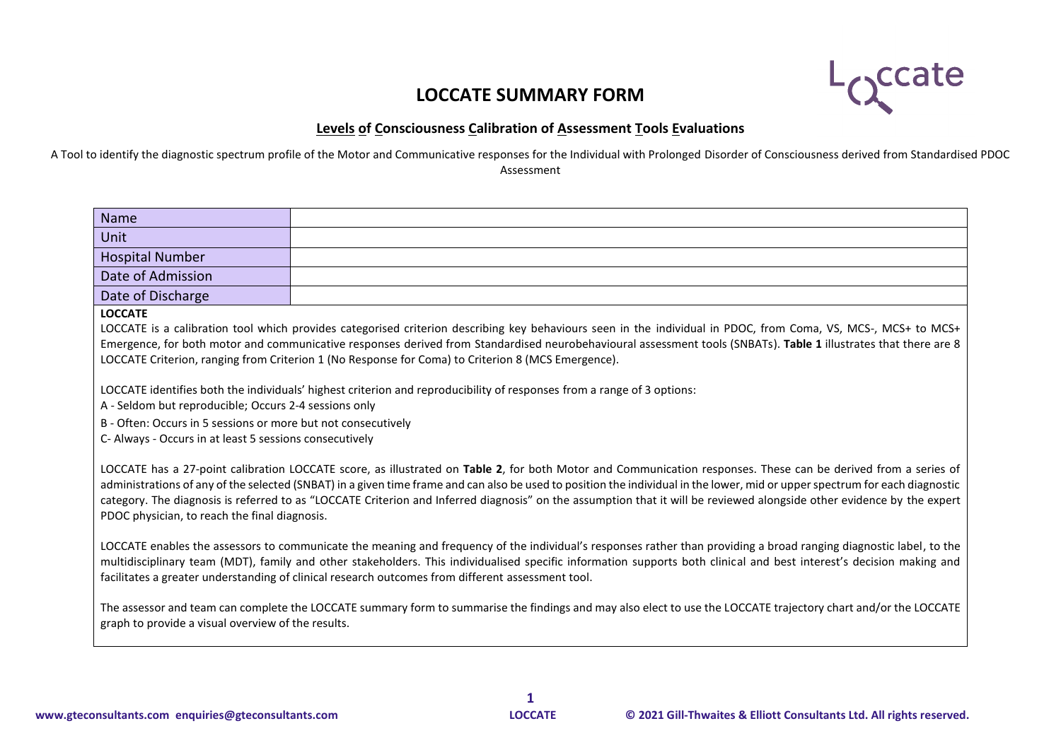## **LOCCATE SUMMARY FORM**



## **Levels of Consciousness Calibration of Assessment Tools Evaluations**

A Tool to identify the diagnostic spectrum profile of the Motor and Communicative responses for the Individual with Prolonged Disorder of Consciousness derived from Standardised PDOC Assessment

| <b>Name</b>                                                                                                                                                                                                                                                                                                                                                                                                                                                                                                                                                               |                                                                                                                                                                                                                                                  |  |  |  |  |  |  |  |
|---------------------------------------------------------------------------------------------------------------------------------------------------------------------------------------------------------------------------------------------------------------------------------------------------------------------------------------------------------------------------------------------------------------------------------------------------------------------------------------------------------------------------------------------------------------------------|--------------------------------------------------------------------------------------------------------------------------------------------------------------------------------------------------------------------------------------------------|--|--|--|--|--|--|--|
| Unit                                                                                                                                                                                                                                                                                                                                                                                                                                                                                                                                                                      |                                                                                                                                                                                                                                                  |  |  |  |  |  |  |  |
| <b>Hospital Number</b>                                                                                                                                                                                                                                                                                                                                                                                                                                                                                                                                                    |                                                                                                                                                                                                                                                  |  |  |  |  |  |  |  |
| Date of Admission                                                                                                                                                                                                                                                                                                                                                                                                                                                                                                                                                         |                                                                                                                                                                                                                                                  |  |  |  |  |  |  |  |
| Date of Discharge                                                                                                                                                                                                                                                                                                                                                                                                                                                                                                                                                         |                                                                                                                                                                                                                                                  |  |  |  |  |  |  |  |
| <b>LOCCATE</b><br>LOCCATE is a calibration tool which provides categorised criterion describing key behaviours seen in the individual in PDOC, from Coma, VS, MCS-, MCS+ to MCS+<br>Emergence, for both motor and communicative responses derived from Standardised neurobehavioural assessment tools (SNBATs). Table 1 illustrates that there are 8<br>LOCCATE Criterion, ranging from Criterion 1 (No Response for Coma) to Criterion 8 (MCS Emergence).                                                                                                                |                                                                                                                                                                                                                                                  |  |  |  |  |  |  |  |
| C- Always - Occurs in at least 5 sessions consecutively                                                                                                                                                                                                                                                                                                                                                                                                                                                                                                                   | LOCCATE identifies both the individuals' highest criterion and reproducibility of responses from a range of 3 options:<br>A - Seldom but reproducible; Occurs 2-4 sessions only<br>B - Often: Occurs in 5 sessions or more but not consecutively |  |  |  |  |  |  |  |
| LOCCATE has a 27-point calibration LOCCATE score, as illustrated on Table 2, for both Motor and Communication responses. These can be derived from a series of<br>administrations of any of the selected (SNBAT) in a given time frame and can also be used to position the individual in the lower, mid or upper spectrum for each diagnostic<br>category. The diagnosis is referred to as "LOCCATE Criterion and Inferred diagnosis" on the assumption that it will be reviewed alongside other evidence by the expert<br>PDOC physician, to reach the final diagnosis. |                                                                                                                                                                                                                                                  |  |  |  |  |  |  |  |
| LOCCATE enables the assessors to communicate the meaning and frequency of the individual's responses rather than providing a broad ranging diagnostic label, to the<br>multidisciplinary team (MDT), family and other stakeholders. This individualised specific information supports both clinical and best interest's decision making and<br>facilitates a greater understanding of clinical research outcomes from different assessment tool.                                                                                                                          |                                                                                                                                                                                                                                                  |  |  |  |  |  |  |  |
| graph to provide a visual overview of the results.                                                                                                                                                                                                                                                                                                                                                                                                                                                                                                                        | The assessor and team can complete the LOCCATE summary form to summarise the findings and may also elect to use the LOCCATE trajectory chart and/or the LOCCATE                                                                                  |  |  |  |  |  |  |  |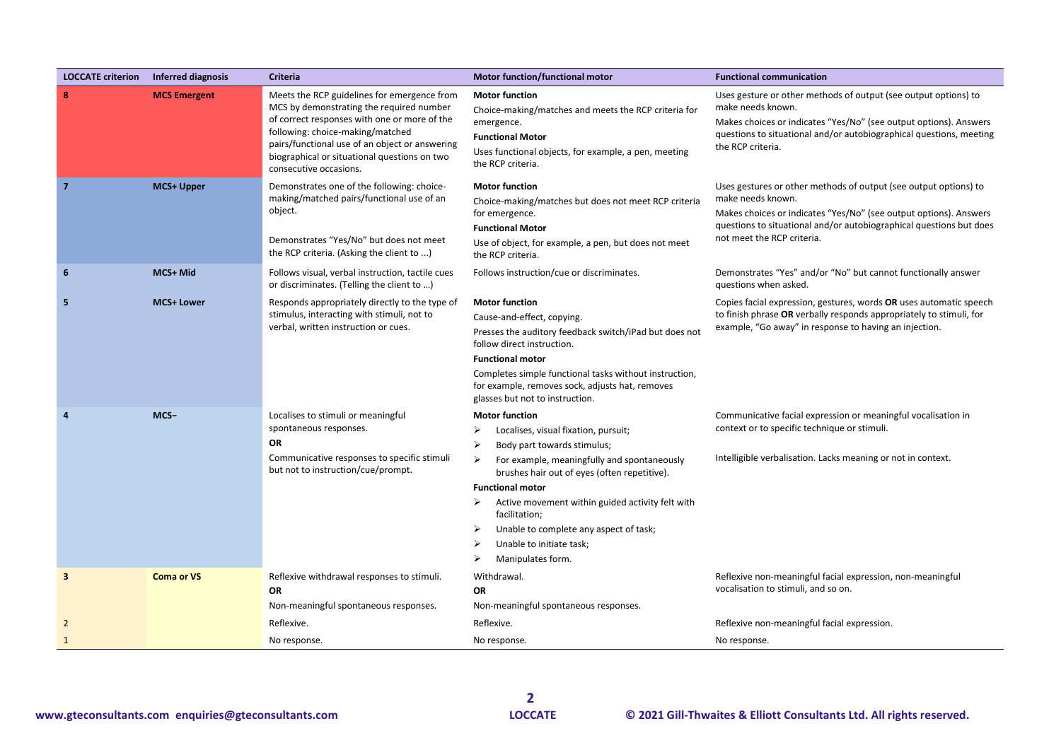| <b>LOCCATE criterion</b> | Inferred diagnosis  | Criteria                                                                                                                                                                                                                                                                                                | <b>Motor function/functional motor</b>                                                                                                                                                                                                                                                                                                                                                                                    | <b>Functional communication</b>                                                                                                                                                                                                                                 |
|--------------------------|---------------------|---------------------------------------------------------------------------------------------------------------------------------------------------------------------------------------------------------------------------------------------------------------------------------------------------------|---------------------------------------------------------------------------------------------------------------------------------------------------------------------------------------------------------------------------------------------------------------------------------------------------------------------------------------------------------------------------------------------------------------------------|-----------------------------------------------------------------------------------------------------------------------------------------------------------------------------------------------------------------------------------------------------------------|
| 8                        | <b>MCS Emergent</b> | Meets the RCP guidelines for emergence from<br>MCS by demonstrating the required number<br>of correct responses with one or more of the<br>following: choice-making/matched<br>pairs/functional use of an object or answering<br>biographical or situational questions on two<br>consecutive occasions. | <b>Motor function</b><br>Choice-making/matches and meets the RCP criteria for<br>emergence.<br><b>Functional Motor</b><br>Uses functional objects, for example, a pen, meeting<br>the RCP criteria.                                                                                                                                                                                                                       | Uses gesture or other methods of output (see output options) to<br>make needs known.<br>Makes choices or indicates "Yes/No" (see output options). Answers<br>questions to situational and/or autobiographical questions, meeting<br>the RCP criteria.           |
| $\overline{7}$           | MCS+ Upper          | Demonstrates one of the following: choice-<br>making/matched pairs/functional use of an<br>object.<br>Demonstrates "Yes/No" but does not meet<br>the RCP criteria. (Asking the client to )                                                                                                              | <b>Motor function</b><br>Choice-making/matches but does not meet RCP criteria<br>for emergence.<br><b>Functional Motor</b><br>Use of object, for example, a pen, but does not meet<br>the RCP criteria.                                                                                                                                                                                                                   | Uses gestures or other methods of output (see output options) to<br>make needs known.<br>Makes choices or indicates "Yes/No" (see output options). Answers<br>questions to situational and/or autobiographical questions but does<br>not meet the RCP criteria. |
| 6                        | MCS+ Mid            | Follows visual, verbal instruction, tactile cues<br>or discriminates. (Telling the client to )                                                                                                                                                                                                          | Follows instruction/cue or discriminates.                                                                                                                                                                                                                                                                                                                                                                                 | Demonstrates "Yes" and/or "No" but cannot functionally answer<br>questions when asked.                                                                                                                                                                          |
| 5                        | <b>MCS+ Lower</b>   | Responds appropriately directly to the type of<br>stimulus, interacting with stimuli, not to<br>verbal, written instruction or cues.                                                                                                                                                                    | <b>Motor function</b><br>Cause-and-effect, copying.<br>Presses the auditory feedback switch/iPad but does not<br>follow direct instruction.<br><b>Functional motor</b><br>Completes simple functional tasks without instruction,<br>for example, removes sock, adjusts hat, removes<br>glasses but not to instruction.                                                                                                    | Copies facial expression, gestures, words OR uses automatic speech<br>to finish phrase OR verbally responds appropriately to stimuli, for<br>example, "Go away" in response to having an injection.                                                             |
|                          | MCS-                | Localises to stimuli or meaningful<br>spontaneous responses.<br>OR<br>Communicative responses to specific stimuli<br>but not to instruction/cue/prompt.                                                                                                                                                 | <b>Motor function</b><br>Localises, visual fixation, pursuit;<br>➤<br>Body part towards stimulus;<br>⋗<br>For example, meaningfully and spontaneously<br>➤<br>brushes hair out of eyes (often repetitive).<br><b>Functional motor</b><br>➤<br>Active movement within guided activity felt with<br>facilitation;<br>➤<br>Unable to complete any aspect of task;<br>Unable to initiate task;<br>⋗<br>Manipulates form.<br>➤ | Communicative facial expression or meaningful vocalisation in<br>context or to specific technique or stimuli.<br>Intelligible verbalisation. Lacks meaning or not in context.                                                                                   |
| 3                        | <b>Coma or VS</b>   | Reflexive withdrawal responses to stimuli.<br><b>OR</b><br>Non-meaningful spontaneous responses.                                                                                                                                                                                                        | Withdrawal.<br>OR<br>Non-meaningful spontaneous responses.                                                                                                                                                                                                                                                                                                                                                                | Reflexive non-meaningful facial expression, non-meaningful<br>vocalisation to stimuli, and so on.                                                                                                                                                               |
| $\overline{2}$           |                     | Reflexive.                                                                                                                                                                                                                                                                                              | Reflexive.                                                                                                                                                                                                                                                                                                                                                                                                                | Reflexive non-meaningful facial expression.                                                                                                                                                                                                                     |
| $\mathbf{1}$             |                     | No response.                                                                                                                                                                                                                                                                                            | No response.                                                                                                                                                                                                                                                                                                                                                                                                              | No response.                                                                                                                                                                                                                                                    |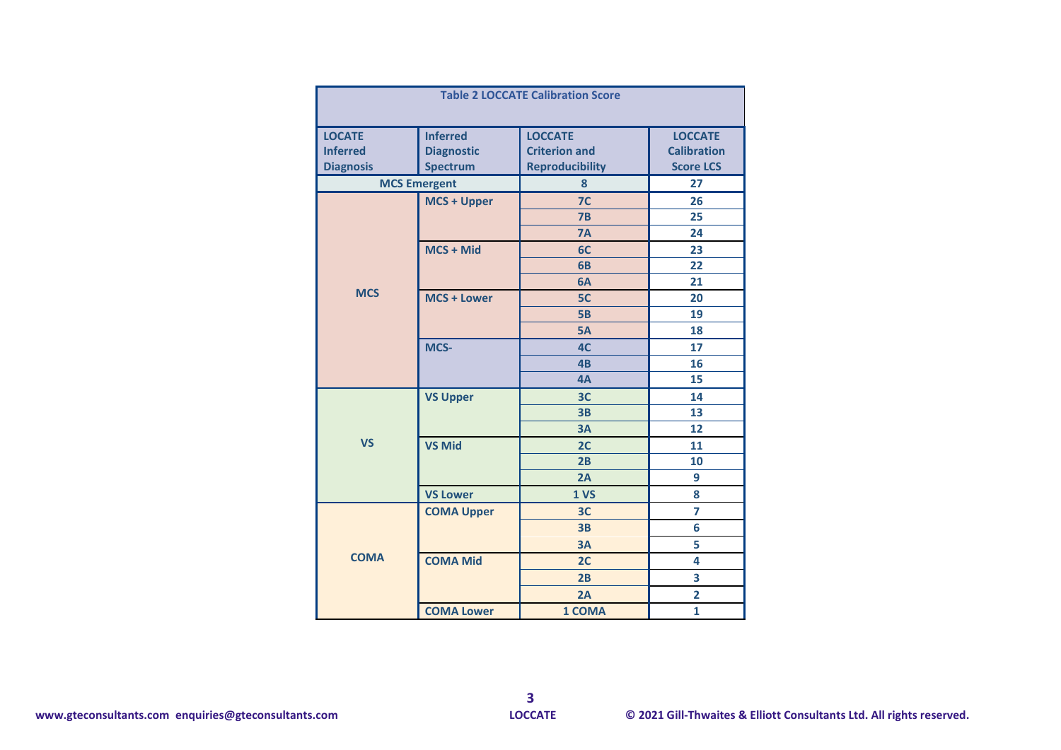| <b>Table 2 LOCCATE Calibration Score</b> |                     |                        |                         |  |  |  |  |  |
|------------------------------------------|---------------------|------------------------|-------------------------|--|--|--|--|--|
| <b>LOCATE</b>                            | <b>Inferred</b>     | <b>LOCCATE</b>         | <b>LOCCATE</b>          |  |  |  |  |  |
| <b>Inferred</b>                          | <b>Diagnostic</b>   | <b>Criterion and</b>   | <b>Calibration</b>      |  |  |  |  |  |
| <b>Diagnosis</b>                         | <b>Spectrum</b>     | <b>Reproducibility</b> | <b>Score LCS</b>        |  |  |  |  |  |
|                                          | <b>MCS Emergent</b> | 8                      | 27                      |  |  |  |  |  |
|                                          | <b>MCS + Upper</b>  | 7 <sup>C</sup>         | 26                      |  |  |  |  |  |
|                                          |                     | 7B                     | 25                      |  |  |  |  |  |
|                                          |                     | <b>7A</b>              | 24                      |  |  |  |  |  |
|                                          | MCS + Mid           | 6C                     | 23                      |  |  |  |  |  |
|                                          |                     | 6B                     | 22                      |  |  |  |  |  |
|                                          |                     | 6A                     | 21                      |  |  |  |  |  |
| <b>MCS</b>                               | <b>MCS + Lower</b>  | 5C                     | 20                      |  |  |  |  |  |
|                                          |                     | <b>5B</b>              | 19                      |  |  |  |  |  |
|                                          |                     | <b>5A</b>              | 18                      |  |  |  |  |  |
|                                          | MCS-                | 4C                     | 17                      |  |  |  |  |  |
|                                          |                     | 4 <sub>B</sub>         | 16                      |  |  |  |  |  |
|                                          |                     | 4A                     | 15                      |  |  |  |  |  |
|                                          | <b>VS Upper</b>     | 3 <sub>C</sub>         | 14                      |  |  |  |  |  |
|                                          |                     | 3B                     | 13                      |  |  |  |  |  |
|                                          |                     | 3A                     | 12                      |  |  |  |  |  |
| <b>VS</b>                                | <b>VS Mid</b>       | 2C                     | 11                      |  |  |  |  |  |
|                                          |                     | 2B                     | 10                      |  |  |  |  |  |
|                                          |                     | 2A                     | 9                       |  |  |  |  |  |
|                                          | <b>VS Lower</b>     | 1 <sub>vs</sub>        | 8                       |  |  |  |  |  |
|                                          | <b>COMA Upper</b>   | 3C                     | 7                       |  |  |  |  |  |
|                                          |                     | 3B                     | 6                       |  |  |  |  |  |
|                                          |                     | 3A                     | 5                       |  |  |  |  |  |
| <b>COMA</b>                              | <b>COMA Mid</b>     | 2C                     | 4                       |  |  |  |  |  |
|                                          |                     | 2B                     | 3                       |  |  |  |  |  |
|                                          |                     | 2A                     | $\overline{\mathbf{2}}$ |  |  |  |  |  |
|                                          | <b>COMA Lower</b>   | 1 COMA                 | 1                       |  |  |  |  |  |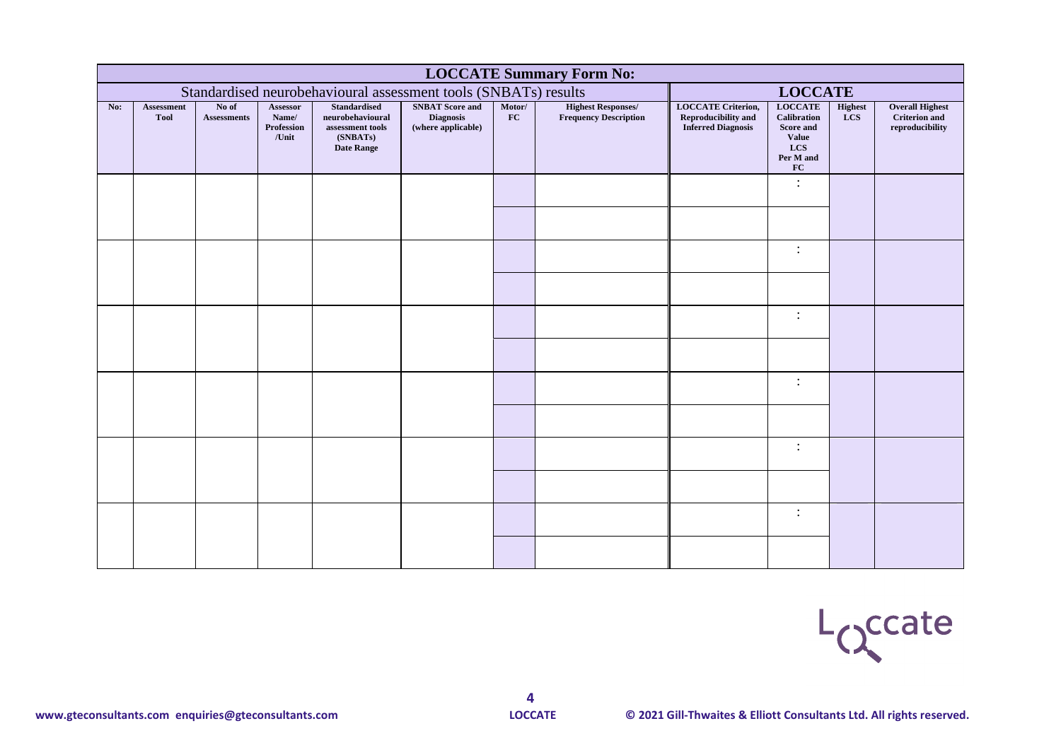|     | <b>LOCCATE Summary Form No:</b> |                             |                                          |                                                                                              |                                                                  |                                                                                   |                                                           |                                                                                      |                                                                                                    |                              |                                                                   |  |  |
|-----|---------------------------------|-----------------------------|------------------------------------------|----------------------------------------------------------------------------------------------|------------------------------------------------------------------|-----------------------------------------------------------------------------------|-----------------------------------------------------------|--------------------------------------------------------------------------------------|----------------------------------------------------------------------------------------------------|------------------------------|-------------------------------------------------------------------|--|--|
|     |                                 |                             |                                          |                                                                                              |                                                                  | Standardised neurobehavioural assessment tools (SNBATs) results<br><b>LOCCATE</b> |                                                           |                                                                                      |                                                                                                    |                              |                                                                   |  |  |
| No: | Assessment<br><b>Tool</b>       | No of<br><b>Assessments</b> | Assessor<br>Name/<br>Profession<br>/Unit | <b>Standardised</b><br>neurobehavioural<br>assessment tools<br>(SNBATs)<br><b>Date Range</b> | <b>SNBAT</b> Score and<br><b>Diagnosis</b><br>(where applicable) | Motor/<br>FC                                                                      | <b>Highest Responses/</b><br><b>Frequency Description</b> | <b>LOCCATE Criterion,</b><br><b>Reproducibility and</b><br><b>Inferred Diagnosis</b> | <b>LOCCATE</b><br><b>Calibration</b><br>Score and<br><b>Value</b><br><b>LCS</b><br>Per M and<br>FC | <b>Highest</b><br><b>LCS</b> | <b>Overall Highest</b><br><b>Criterion</b> and<br>reproducibility |  |  |
|     |                                 |                             |                                          |                                                                                              |                                                                  |                                                                                   |                                                           |                                                                                      | $\ddot{\cdot}$                                                                                     |                              |                                                                   |  |  |
|     |                                 |                             |                                          |                                                                                              |                                                                  |                                                                                   |                                                           |                                                                                      | $\ddot{\cdot}$                                                                                     |                              |                                                                   |  |  |
|     |                                 |                             |                                          |                                                                                              |                                                                  |                                                                                   |                                                           |                                                                                      | $\ddot{\phantom{a}}$                                                                               |                              |                                                                   |  |  |
|     |                                 |                             |                                          |                                                                                              |                                                                  |                                                                                   |                                                           |                                                                                      | $\ddot{\cdot}$                                                                                     |                              |                                                                   |  |  |
|     |                                 |                             |                                          |                                                                                              |                                                                  |                                                                                   |                                                           |                                                                                      | $\ddot{\cdot}$                                                                                     |                              |                                                                   |  |  |
|     |                                 |                             |                                          |                                                                                              |                                                                  |                                                                                   |                                                           |                                                                                      | $\ddot{\cdot}$                                                                                     |                              |                                                                   |  |  |

Loccate